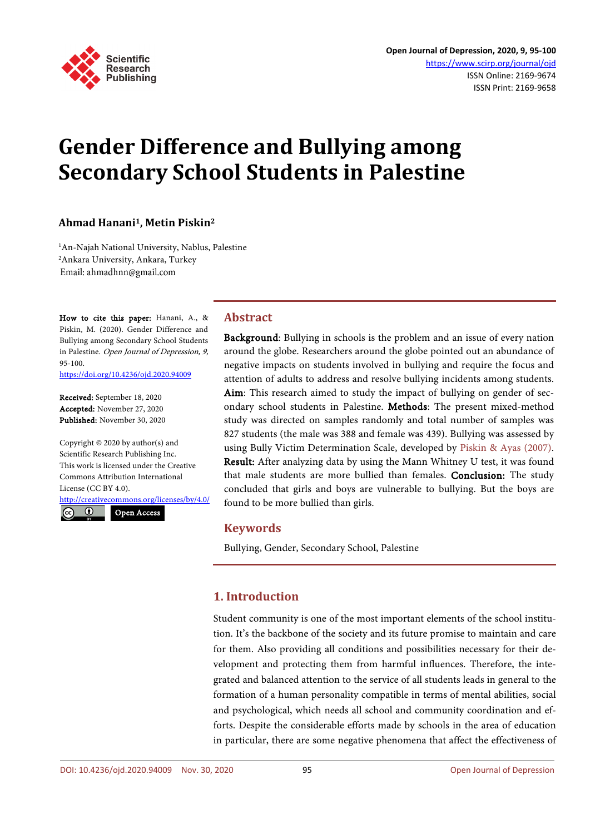

# **Gender Difference and Bullying among Secondary School Students in Palestine**

## **Ahmad Hanani1, Metin Piskin2**

1 An-Najah National University, Nablus, Palestine 2 Ankara University, Ankara, Turkey Email: ahmadhnn@gmail.com

How to cite this paper: Hanani, A., & Piskin, M. (2020). Gender Difference and Bullying among Secondary School Students in Palestine. Open Journal of Depression, 9, 95-100.

<https://doi.org/10.4236/ojd.2020.94009>

Received: September 18, 2020 Accepted: November 27, 2020 Published: November 30, 2020

Copyright © 2020 by author(s) and Scientific Research Publishing Inc. This work is licensed under the Creative Commons Attribution International License (CC BY 4.0).

<http://creativecommons.org/licenses/by/4.0/>  $\odot$ 

Open Access

# **Abstract**

Background: Bullying in schools is the problem and an issue of every nation around the globe. Researchers around the globe pointed out an abundance of negative impacts on students involved in bullying and require the focus and attention of adults to address and resolve bullying incidents among students. Aim: This research aimed to study the impact of bullying on gender of secondary school students in Palestine. Methods: The present mixed-method study was directed on samples randomly and total number of samples was 827 students (the male was 388 and female was 439). Bullying was assessed by using Bully Victim Determination Scale, developed by [Piskin & Ayas \(2007\).](#page-5-0) Result: After analyzing data by using the Mann Whitney U test, it was found that male students are more bullied than females. Conclusion: The study concluded that girls and boys are vulnerable to bullying. But the boys are found to be more bullied than girls.

# **Keywords**

Bullying, Gender, Secondary School, Palestine

# **1. Introduction**

Student community is one of the most important elements of the school institution. It's the backbone of the society and its future promise to maintain and care for them. Also providing all conditions and possibilities necessary for their development and protecting them from harmful influences. Therefore, the integrated and balanced attention to the service of all students leads in general to the formation of a human personality compatible in terms of mental abilities, social and psychological, which needs all school and community coordination and efforts. Despite the considerable efforts made by schools in the area of education in particular, there are some negative phenomena that affect the effectiveness of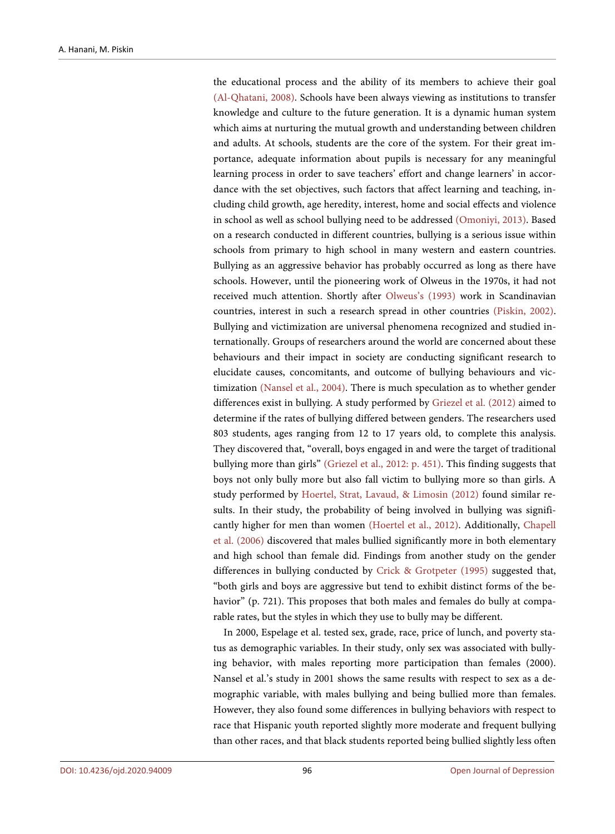the educational process and the ability of its members to achieve their goal [\(Al-Qhatani, 2008\).](#page-4-0) Schools have been always viewing as institutions to transfer knowledge and culture to the future generation. It is a dynamic human system which aims at nurturing the mutual growth and understanding between children and adults. At schools, students are the core of the system. For their great importance, adequate information about pupils is necessary for any meaningful learning process in order to save teachers' effort and change learners' in accordance with the set objectives, such factors that affect learning and teaching, including child growth, age heredity, interest, home and social effects and violence in school as well as school bullying need to be addressed [\(Omoniyi, 2013\).](#page-5-1) Based on a research conducted in different countries, bullying is a serious issue within schools from primary to high school in many western and eastern countries. Bullying as an aggressive behavior has probably occurred as long as there have schools. However, until the pioneering work of Olweus in the 1970s, it had not received much attention. Shortly after [Olweus's](#page-5-2) (1993) work in Scandinavian countries, interest in such a research spread in other countries [\(Piskin, 2002\).](#page-5-3)  Bullying and victimization are universal phenomena recognized and studied internationally. Groups of researchers around the world are concerned about these behaviours and their impact in society are conducting significant research to elucidate causes, concomitants, and outcome of bullying behaviours and victimization (Nansel [et al., 2004\).](#page-5-4) There is much speculation as to whether gender differences exist in bullying. A study performed by [Griezel et al. \(2012\)](#page-4-1) aimed to determine if the rates of bullying differed between genders. The researchers used 803 students, ages ranging from 12 to 17 years old, to complete this analysis. They discovered that, "overall, boys engaged in and were the target of traditional bullying more than girls" (Griezel [et al., 2012:](#page-4-1) p. 451). This finding suggests that boys not only bully more but also fall victim to bullying more so than girls. A study performed by [Hoertel, Strat, Lavaud, &](#page-5-5) Limosin (2012) found similar results. In their study, the probability of being involved in bullying was significantly higher for men than women [\(Hoertel et al., 2012\).](#page-5-5) Additionally, [Chapell](#page-4-2)  [et al. \(2006\)](#page-4-2) discovered that males bullied significantly more in both elementary and high school than female did. Findings from another study on the gender differences in bullying conducted by Crick & [Grotpeter \(1995\)](#page-4-3) suggested that, "both girls and boys are aggressive but tend to exhibit distinct forms of the behavior" (p. 721). This proposes that both males and females do bully at comparable rates, but the styles in which they use to bully may be different.

In 2000, Espelage et al. tested sex, grade, race, price of lunch, and poverty status as demographic variables. In their study, only sex was associated with bullying behavior, with males reporting more participation than females (2000). Nansel et al.'s study in 2001 shows the same results with respect to sex as a demographic variable, with males bullying and being bullied more than females. However, they also found some differences in bullying behaviors with respect to race that Hispanic youth reported slightly more moderate and frequent bullying than other races, and that black students reported being bullied slightly less often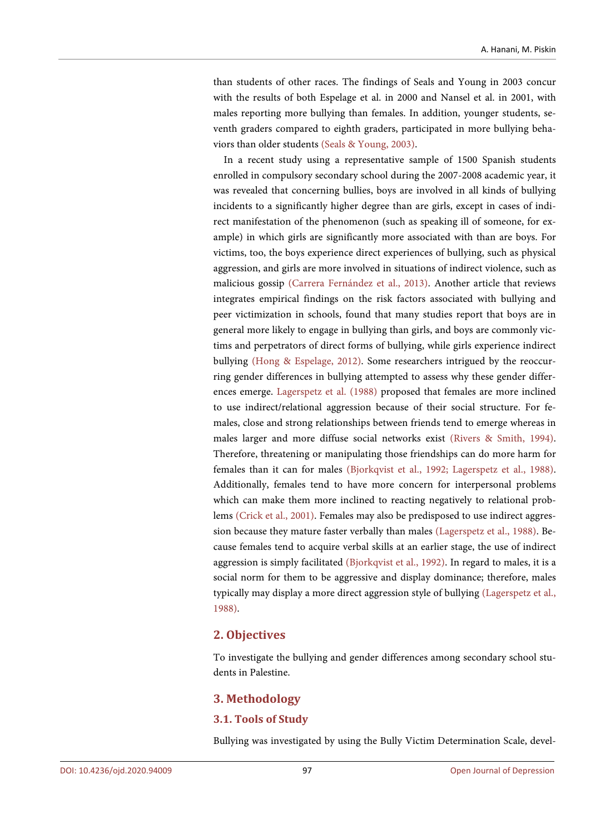than students of other races. The findings of Seals and Young in 2003 concur with the results of both Espelage et al. in 2000 and Nansel et al. in 2001, with males reporting more bullying than females. In addition, younger students, seventh graders compared to eighth graders, participated in more bullying behaviors than older students [\(Seals & Young, 2003\).](#page-5-6)

In a recent study using a representative sample of 1500 Spanish students enrolled in compulsory secondary school during the 2007-2008 academic year, it was revealed that concerning bullies, boys are involved in all kinds of bullying incidents to a significantly higher degree than are girls, except in cases of indirect manifestation of the phenomenon (such as speaking ill of someone, for example) in which girls are significantly more associated with than are boys. For victims, too, the boys experience direct experiences of bullying, such as physical aggression, and girls are more involved in situations of indirect violence, such as malicious gossip [\(Carrera Fernández](#page-4-4) et al., 2013). Another article that reviews integrates empirical findings on the risk factors associated with bullying and peer victimization in schools, found that many studies report that boys are in general more likely to engage in bullying than girls, and boys are commonly victims and perpetrators of direct forms of bullying, while girls experience indirect bullying [\(Hong & Espelage,](#page-5-7) 2012). Some researchers intrigued by the reoccurring gender differences in bullying attempted to assess why these gender differences emerge. [Lagerspetz et al. \(1988\)](#page-5-8) proposed that females are more inclined to use indirect/relational aggression because of their social structure. For females, close and strong relationships between friends tend to emerge whereas in males larger and more diffuse social networks exist (Rivers [& Smith, 1994\).](#page-5-9) Therefore, threatening or manipulating those friendships can do more harm for females than it can for males [\(Bjorkqvist et al., 1992;](#page-4-5) [Lagerspetz et al., 1988\).](#page-5-8)  Additionally, females tend to have more concern for interpersonal problems which can make them more inclined to reacting negatively to relational problems [\(Crick et al., 2001\).](#page-4-6) Females may also be predisposed to use indirect aggression because they mature faster verbally than males [\(Lagerspetz et al., 1988\).](#page-5-8) Because females tend to acquire verbal skills at an earlier stage, the use of indirect aggression is simply facilitated [\(Bjorkqvist et al., 1992\).](#page-4-5) In regard to males, it is a social norm for them to be aggressive and display dominance; therefore, males typically may display a more direct aggression style of bullying [\(Lagerspetz et al.,](#page-5-8)  [1988\).](#page-5-8)

## **2. Objectives**

To investigate the bullying and gender differences among secondary school students in Palestine.

## **3. Methodology**

## **3.1. Tools of Study**

Bullying was investigated by using the Bully Victim Determination Scale, devel-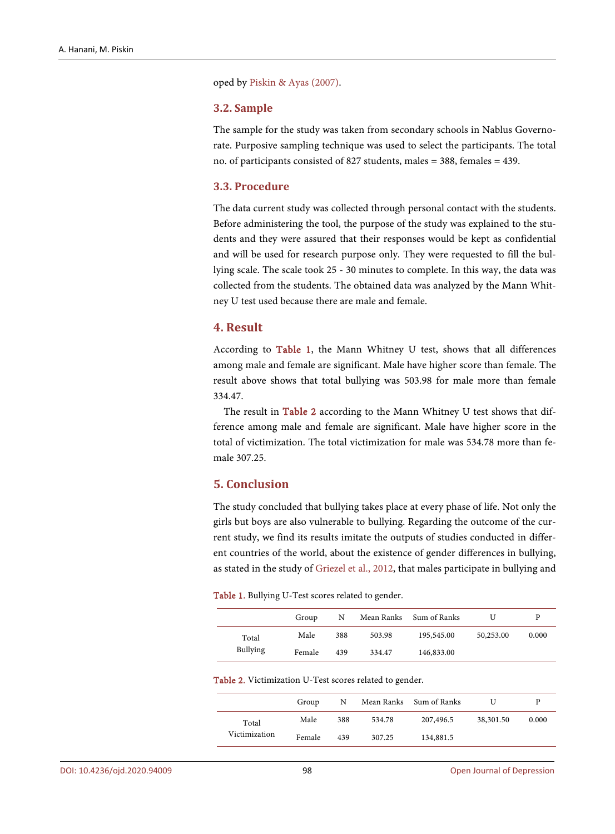oped by [Piskin & Ayas \(2007\).](#page-5-0) 

#### **3.2. Sample**

The sample for the study was taken from secondary schools in Nablus Governorate. Purposive sampling technique was used to select the participants. The total no. of participants consisted of 827 students, males = 388, females = 439.

#### **3.3. Procedure**

The data current study was collected through personal contact with the students. Before administering the tool, the purpose of the study was explained to the students and they were assured that their responses would be kept as confidential and will be used for research purpose only. They were requested to fill the bullying scale. The scale took 25 - 30 minutes to complete. In this way, the data was collected from the students. The obtained data was analyzed by the Mann Whitney U test used because there are male and female.

## **4. Result**

According to [Table 1,](#page-3-0) the Mann Whitney U test, shows that all differences among male and female are significant. Male have higher score than female. The result above shows that total bullying was 503.98 for male more than female 334.47.

The result in [Table 2](#page-3-1) according to the Mann Whitney U test shows that difference among male and female are significant. Male have higher score in the total of victimization. The total victimization for male was 534.78 more than female 307.25.

## **5. Conclusion**

The study concluded that bullying takes place at every phase of life. Not only the girls but boys are also vulnerable to bullying. Regarding the outcome of the current study, we find its results imitate the outputs of studies conducted in different countries of the world, about the existence of gender differences in bullying, as stated in the study of [Griezel et al.,](#page-4-1) 2012, that males participate in bullying and

<span id="page-3-0"></span>

| Table 1. Bullying U-Test scores related to gender. |  |  |
|----------------------------------------------------|--|--|
|----------------------------------------------------|--|--|

|                          | Group  | N   |        | Mean Ranks Sum of Ranks |           |       |
|--------------------------|--------|-----|--------|-------------------------|-----------|-------|
| Total<br><b>Bullying</b> | Male   | 388 | 503.98 | 195,545.00              | 50,253.00 | 0.000 |
|                          | Female | 439 | 334.47 | 146,833.00              |           |       |

<span id="page-3-1"></span>Table 2. Victimization U-Test scores related to gender.

|                        | Group  | N   |        | Mean Ranks Sum of Ranks |           |       |
|------------------------|--------|-----|--------|-------------------------|-----------|-------|
| Total<br>Victimization | Male   | 388 | 534.78 | 207,496.5               | 38,301.50 | 0.000 |
|                        | Female | 439 | 307.25 | 134,881.5               |           |       |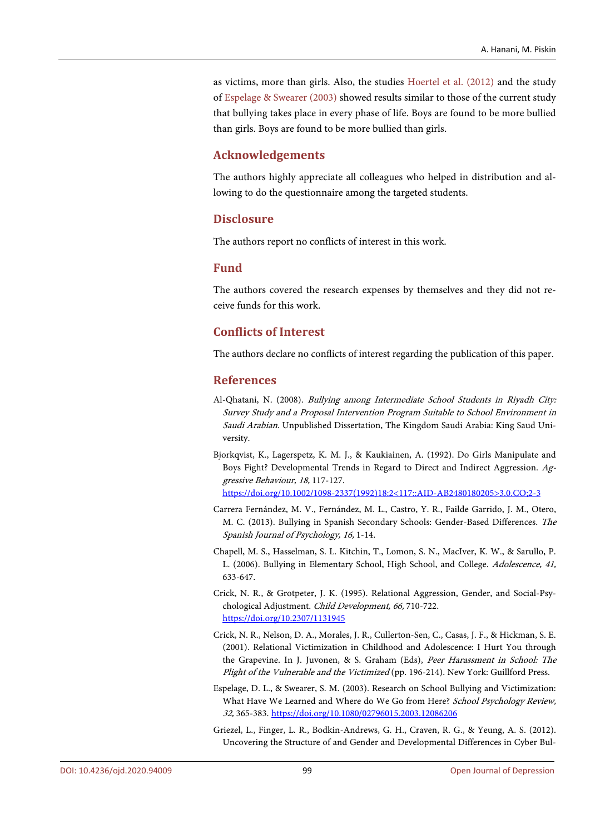as victims, more than girls. Also, the studies [Hoertel et al.](#page-5-5) (2012) and the study of [Espelage &](#page-4-7) Swearer (2003) showed results similar to those of the current study that bullying takes place in every phase of life. Boys are found to be more bullied than girls. Boys are found to be more bullied than girls.

# **Acknowledgements**

The authors highly appreciate all colleagues who helped in distribution and allowing to do the questionnaire among the targeted students.

#### **Disclosure**

The authors report no conflicts of interest in this work.

## **Fund**

The authors covered the research expenses by themselves and they did not receive funds for this work.

## **Conflicts of Interest**

The authors declare no conflicts of interest regarding the publication of this paper.

#### **References**

- <span id="page-4-0"></span>Al-Qhatani, N. (2008). Bullying among Intermediate School Students in Riyadh City: Survey Study and a Proposal Intervention Program Suitable to School Environment in Saudi Arabian. Unpublished Dissertation, The Kingdom Saudi Arabia: King Saud University.
- <span id="page-4-5"></span>Bjorkqvist, K., Lagerspetz, K. M. J., & Kaukiainen, A. (1992). Do Girls Manipulate and Boys Fight? Developmental Trends in Regard to Direct and Indirect Aggression. Aggressive Behaviour, 18, 117-127. [https://doi.org/10.1002/1098-2337\(1992\)18:2<117::AID-AB2480180205>3.0.CO;2-3](https://doi.org/10.1002/1098-2337(1992)18:2%3C117::AID-AB2480180205%3E3.0.CO;2-3)
- <span id="page-4-4"></span>Carrera Fernández, M. V., Fernández, M. L., Castro, Y. R., Failde Garrido, J. M., Otero, M. C. (2013). Bullying in Spanish Secondary Schools: Gender-Based Differences. The Spanish Journal of Psychology, 16, 1-14.
- <span id="page-4-2"></span>Chapell, M. S., Hasselman, S. L. Kitchin, T., Lomon, S. N., MacIver, K. W., & Sarullo, P. L. (2006). Bullying in Elementary School, High School, and College. Adolescence, 41, 633-647.
- <span id="page-4-3"></span>Crick, N. R., & Grotpeter, J. K. (1995). Relational Aggression, Gender, and Social-Psychological Adjustment. Child Development, 66, 710-722. <https://doi.org/10.2307/1131945>
- <span id="page-4-6"></span>Crick, N. R., Nelson, D. A., Morales, J. R., Cullerton-Sen, C., Casas, J. F., & Hickman, S. E. (2001). Relational Victimization in Childhood and Adolescence: I Hurt You through the Grapevine. In J. Juvonen, & S. Graham (Eds), Peer Harassment in School: The Plight of the Vulnerable and the Victimized (pp. 196-214). New York: Guillford Press.
- <span id="page-4-7"></span>Espelage, D. L., & Swearer, S. M. (2003). Research on School Bullying and Victimization: What Have We Learned and Where do We Go from Here? School Psychology Review, 32, 365-383. <https://doi.org/10.1080/02796015.2003.12086206>
- <span id="page-4-1"></span>Griezel, L., Finger, L. R., Bodkin-Andrews, G. H., Craven, R. G., & Yeung, A. S. (2012). Uncovering the Structure of and Gender and Developmental Differences in Cyber Bul-